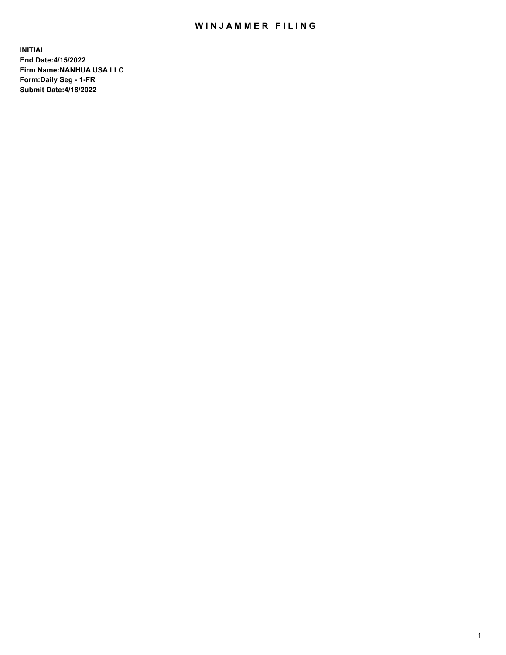## WIN JAMMER FILING

**INITIAL End Date:4/15/2022 Firm Name:NANHUA USA LLC Form:Daily Seg - 1-FR Submit Date:4/18/2022**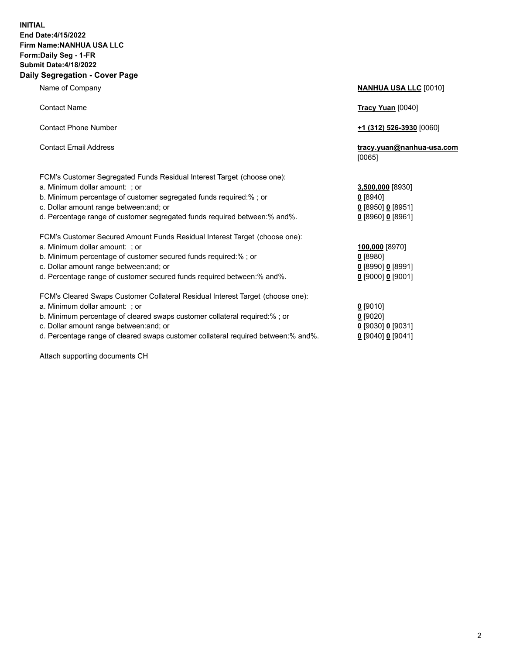## **INITIAL End Date:4/15/2022 Firm Name:NANHUA USA LLC Form:Daily Seg - 1-FR Submit Date:4/18/2022 Daily Segregation - Cover Page**

Name of Company **NANHUA USA LLC** [0010] Contact Name **Tracy Yuan** [0040] Contact Phone Number **+1 (312) 526-3930** [0060] Contact Email Address **tracy.yuan@nanhua-usa.com** [0065] FCM's Customer Segregated Funds Residual Interest Target (choose one): a. Minimum dollar amount: ; or **3,500,000** [8930] b. Minimum percentage of customer segregated funds required:% ; or **0** [8940] c. Dollar amount range between:and; or **0** [8950] **0** [8951] d. Percentage range of customer segregated funds required between:% and%. **0** [8960] **0** [8961] FCM's Customer Secured Amount Funds Residual Interest Target (choose one): a. Minimum dollar amount: ; or **100,000** [8970] b. Minimum percentage of customer secured funds required:% ; or **0** [8980] c. Dollar amount range between:and; or **0** [8990] **0** [8991] d. Percentage range of customer secured funds required between:% and%. **0** [9000] **0** [9001] FCM's Cleared Swaps Customer Collateral Residual Interest Target (choose one): a. Minimum dollar amount: ; or **0** [9010] b. Minimum percentage of cleared swaps customer collateral required:% ; or **0** [9020] c. Dollar amount range between:and; or **0** [9030] **0** [9031]

d. Percentage range of cleared swaps customer collateral required between:% and%. **0** [9040] **0** [9041]

Attach supporting documents CH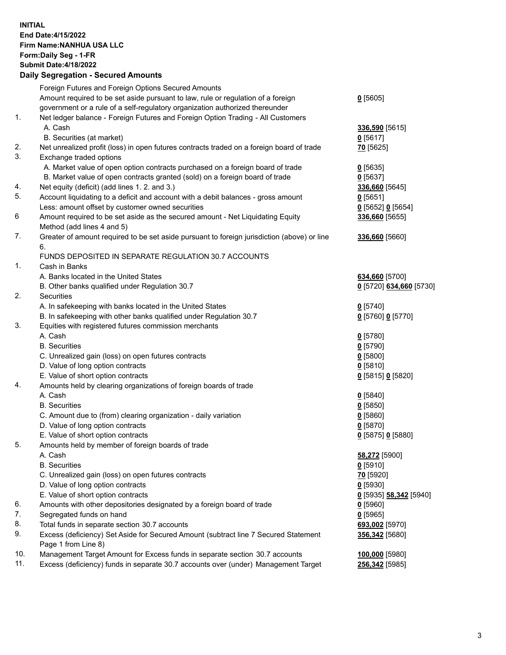## **INITIAL End Date:4/15/2022 Firm Name:NANHUA USA LLC Form:Daily Seg - 1-FR Submit Date:4/18/2022 Daily Segregation - Secured Amounts**

|     | Foreign Futures and Foreign Options Secured Amounts<br>Amount required to be set aside pursuant to law, rule or regulation of a foreign                         | $0$ [5605]                   |
|-----|-----------------------------------------------------------------------------------------------------------------------------------------------------------------|------------------------------|
| 1.  | government or a rule of a self-regulatory organization authorized thereunder<br>Net ledger balance - Foreign Futures and Foreign Option Trading - All Customers |                              |
|     | A. Cash<br>B. Securities (at market)                                                                                                                            | 336,590 [5615]<br>$0$ [5617] |
| 2.  | Net unrealized profit (loss) in open futures contracts traded on a foreign board of trade                                                                       | 70 [5625]                    |
| 3.  | Exchange traded options                                                                                                                                         |                              |
|     | A. Market value of open option contracts purchased on a foreign board of trade                                                                                  | $0$ [5635]                   |
|     | B. Market value of open contracts granted (sold) on a foreign board of trade                                                                                    | $0$ [5637]                   |
| 4.  | Net equity (deficit) (add lines 1. 2. and 3.)                                                                                                                   | 336,660 [5645]               |
| 5.  | Account liquidating to a deficit and account with a debit balances - gross amount                                                                               | 0[5651]                      |
|     | Less: amount offset by customer owned securities                                                                                                                | $0$ [5652] $0$ [5654]        |
| 6   | Amount required to be set aside as the secured amount - Net Liquidating Equity                                                                                  | 336,660 [5655]               |
|     | Method (add lines 4 and 5)                                                                                                                                      |                              |
| 7.  | Greater of amount required to be set aside pursuant to foreign jurisdiction (above) or line                                                                     | 336,660 [5660]               |
|     | 6.<br>FUNDS DEPOSITED IN SEPARATE REGULATION 30.7 ACCOUNTS                                                                                                      |                              |
| 1.  | Cash in Banks                                                                                                                                                   |                              |
|     | A. Banks located in the United States                                                                                                                           | 634,660 [5700]               |
|     | B. Other banks qualified under Regulation 30.7                                                                                                                  | 0 [5720] 634,660 [5730]      |
| 2.  | Securities                                                                                                                                                      |                              |
|     | A. In safekeeping with banks located in the United States                                                                                                       | $0$ [5740]                   |
|     | B. In safekeeping with other banks qualified under Regulation 30.7                                                                                              | 0 [5760] 0 [5770]            |
| 3.  | Equities with registered futures commission merchants                                                                                                           |                              |
|     | A. Cash                                                                                                                                                         | $0$ [5780]                   |
|     | <b>B.</b> Securities                                                                                                                                            | $0$ [5790]                   |
|     | C. Unrealized gain (loss) on open futures contracts                                                                                                             | $0$ [5800]                   |
|     | D. Value of long option contracts                                                                                                                               | $0$ [5810]                   |
|     | E. Value of short option contracts                                                                                                                              | 0 [5815] 0 [5820]            |
| 4.  | Amounts held by clearing organizations of foreign boards of trade                                                                                               |                              |
|     | A. Cash                                                                                                                                                         | $0$ [5840]                   |
|     | <b>B.</b> Securities                                                                                                                                            | $0$ [5850]                   |
|     | C. Amount due to (from) clearing organization - daily variation                                                                                                 | 0[5860]                      |
|     | D. Value of long option contracts                                                                                                                               | $0$ [5870]                   |
|     | E. Value of short option contracts                                                                                                                              | 0 [5875] 0 [5880]            |
| 5.  | Amounts held by member of foreign boards of trade                                                                                                               |                              |
|     | A. Cash                                                                                                                                                         | 58,272 [5900]                |
|     | <b>B.</b> Securities                                                                                                                                            | $0$ [5910]                   |
|     | C. Unrealized gain (loss) on open futures contracts                                                                                                             | 70 [5920]                    |
|     | D. Value of long option contracts                                                                                                                               | $0$ [5930]                   |
|     | E. Value of short option contracts                                                                                                                              | 0 [5935] 58,342 [5940]       |
| 6.  | Amounts with other depositories designated by a foreign board of trade                                                                                          | $0$ [5960]                   |
| 7.  | Segregated funds on hand                                                                                                                                        | $0$ [5965]                   |
| 8.  | Total funds in separate section 30.7 accounts                                                                                                                   | 693,002 [5970]               |
| 9.  | Excess (deficiency) Set Aside for Secured Amount (subtract line 7 Secured Statement                                                                             | 356,342 [5680]               |
|     | Page 1 from Line 8)                                                                                                                                             |                              |
| 10. | Management Target Amount for Excess funds in separate section 30.7 accounts                                                                                     | 100,000 [5980]               |
| 11. | Excess (deficiency) funds in separate 30.7 accounts over (under) Management Target                                                                              | 256,342 [5985]               |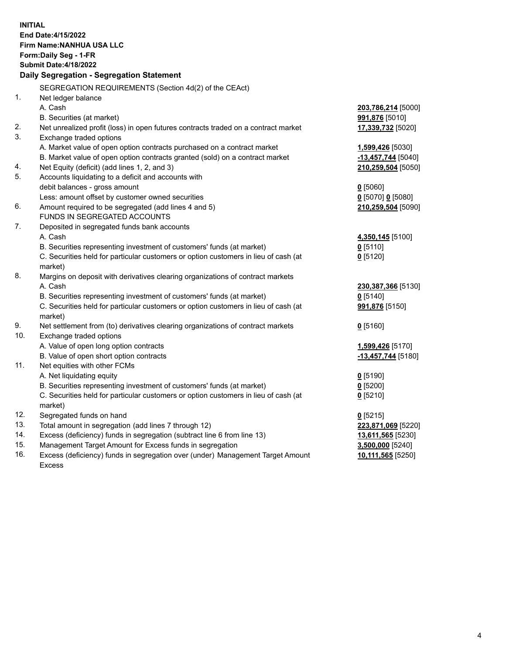| <b>INITIAL</b> | End Date: 4/15/2022<br>Firm Name: NANHUA USA LLC                                    |                     |  |  |  |
|----------------|-------------------------------------------------------------------------------------|---------------------|--|--|--|
|                | Form: Daily Seg - 1-FR                                                              |                     |  |  |  |
|                | <b>Submit Date: 4/18/2022</b>                                                       |                     |  |  |  |
|                |                                                                                     |                     |  |  |  |
|                | Daily Segregation - Segregation Statement                                           |                     |  |  |  |
|                | SEGREGATION REQUIREMENTS (Section 4d(2) of the CEAct)                               |                     |  |  |  |
| 1.             | Net ledger balance                                                                  |                     |  |  |  |
|                | A. Cash                                                                             | 203,786,214 [5000]  |  |  |  |
|                | B. Securities (at market)                                                           | 991,876 [5010]      |  |  |  |
| 2.             | Net unrealized profit (loss) in open futures contracts traded on a contract market  | 17,339,732 [5020]   |  |  |  |
| 3.             | Exchange traded options                                                             |                     |  |  |  |
|                | A. Market value of open option contracts purchased on a contract market             | 1,599,426 [5030]    |  |  |  |
|                | B. Market value of open option contracts granted (sold) on a contract market        | -13,457,744 [5040]  |  |  |  |
| 4.             | Net Equity (deficit) (add lines 1, 2, and 3)                                        | 210,259,504 [5050]  |  |  |  |
| 5.             | Accounts liquidating to a deficit and accounts with                                 |                     |  |  |  |
|                | debit balances - gross amount                                                       | $0$ [5060]          |  |  |  |
|                | Less: amount offset by customer owned securities                                    | $0$ [5070] 0 [5080] |  |  |  |
| 6.             | Amount required to be segregated (add lines 4 and 5)                                | 210,259,504 [5090]  |  |  |  |
|                | FUNDS IN SEGREGATED ACCOUNTS                                                        |                     |  |  |  |
| 7.             | Deposited in segregated funds bank accounts                                         |                     |  |  |  |
|                | A. Cash                                                                             | 4,350,145 [5100]    |  |  |  |
|                | B. Securities representing investment of customers' funds (at market)               | $0$ [5110]          |  |  |  |
|                | C. Securities held for particular customers or option customers in lieu of cash (at | $0$ [5120]          |  |  |  |
|                | market)                                                                             |                     |  |  |  |
| 8.             | Margins on deposit with derivatives clearing organizations of contract markets      |                     |  |  |  |
|                | A. Cash                                                                             | 230,387,366 [5130]  |  |  |  |
|                | B. Securities representing investment of customers' funds (at market)               | $0$ [5140]          |  |  |  |
|                | C. Securities held for particular customers or option customers in lieu of cash (at | 991,876 [5150]      |  |  |  |
|                | market)                                                                             |                     |  |  |  |
| 9.             | Net settlement from (to) derivatives clearing organizations of contract markets     | $0$ [5160]          |  |  |  |
| 10.            | Exchange traded options                                                             |                     |  |  |  |
|                | A. Value of open long option contracts                                              | 1,599,426 [5170]    |  |  |  |
|                | B. Value of open short option contracts                                             | -13,457,744 [5180]  |  |  |  |
| 11.            | Net equities with other FCMs                                                        |                     |  |  |  |
|                | A. Net liquidating equity                                                           | $0$ [5190]          |  |  |  |
|                | B. Securities representing investment of customers' funds (at market)               | 0 [5200]            |  |  |  |
|                | C. Securities held for particular customers or option customers in lieu of cash (at | $0$ [5210]          |  |  |  |
|                | market)                                                                             |                     |  |  |  |
| 12.            | Segregated funds on hand                                                            | $0$ [5215]          |  |  |  |
| 13.            | Total amount in segregation (add lines 7 through 12)                                | 223,871,069 [5220]  |  |  |  |
| 14.            | Excess (deficiency) funds in segregation (subtract line 6 from line 13)             | 13,611,565 [5230]   |  |  |  |
| 15.            | Management Target Amount for Excess funds in segregation                            | 3,500,000 [5240]    |  |  |  |
| 16.            | Excess (deficiency) funds in segregation over (under) Management Target Amount      | 10,111,565 [5250]   |  |  |  |
|                | <b>Excess</b>                                                                       |                     |  |  |  |